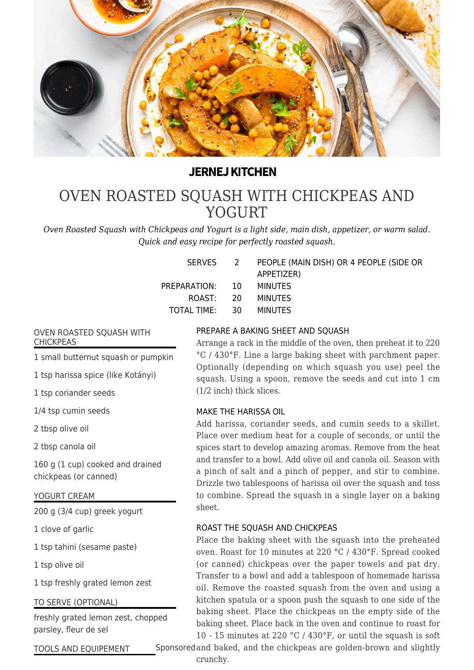

# **JERNEJ KITCHEN**

# [OVEN ROASTED SQUASH WITH CHICKPEAS AND](https://jernejkitchen.com/recipes/vegetables/oven-roasted-squash-chickpeas) [YOGURT](https://jernejkitchen.com/recipes/vegetables/oven-roasted-squash-chickpeas)

*Oven Roasted Squash with Chickpeas and Yogurt is a light side, main dish, appetizer, or warm salad. Quick and easy recipe for perfectly roasted squash.*

|                 | SERVES 2 PEOPLE (MAIN DISH) OR 4 PEOPLE (SIDE OR |
|-----------------|--------------------------------------------------|
|                 | APPETIZER)                                       |
| PREPARATION: 10 | MINUTES                                          |
| ROAST: 20       | MINUTES                                          |
| TOTAL TIME: 30  | <b>MINUTES</b>                                   |
|                 |                                                  |

#### OVEN ROASTED SQUASH WITH CHICKPEAS

1 small butternut squash or pumpkin

1 tsp harissa spice (like Kotányi)

1 tsp coriander seeds

1/4 tsp cumin seeds

2 tbsp olive oil

2 tbsp canola oil

160 g (1 cup) cooked and drained chickpeas (or canned)

### YOGURT CREAM

200 g (3/4 cup) greek yogurt

1 clove of garlic

1 tsp tahini (sesame paste)

1 tsp olive oil

1 tsp freshly grated lemon zest

### TO SERVE (OPTIONAL)

freshly grated lemon zest, chopped parsley, fleur de sel

# PREPARE A BAKING SHEET AND SQUASH

Arrange a rack in the middle of the oven, then preheat it to 220 °C / 430°F. Line a large baking sheet with parchment paper. Optionally (depending on which squash you use) peel the squash. Using a spoon, remove the seeds and cut into 1 cm (1/2 inch) thick slices.

### MAKE THE HARISSA OIL

Add harissa, coriander seeds, and cumin seeds to a skillet. Place over medium heat for a couple of seconds, or until the spices start to develop amazing aromas. Remove from the heat and transfer to a bowl. Add olive oil and canola oil. Season with a pinch of salt and a pinch of pepper, and stir to combine. Drizzle two tablespoons of harissa oil over the squash and toss to combine. Spread the squash in a single layer on a baking sheet.

## ROAST THE SQUASH AND CHICKPEAS

Place the baking sheet with the squash into the preheated oven. Roast for 10 minutes at 220 °C / 430°F. Spread cooked (or canned) chickpeas over the paper towels and pat dry. Transfer to a bowl and add a tablespoon of homemade harissa oil. Remove the roasted squash from the oven and using a kitchen spatula or a spoon push the squash to one side of the baking sheet. Place the chickpeas on the empty side of the baking sheet. Place back in the oven and continue to roast for 10 - 15 minutes at 220 °C / 430°F, or until the squash is soft

Sponsored and baked, and the chickpeas are golden-brown and slightly

TOOLS AND EQUIPEMENT

crunchy.